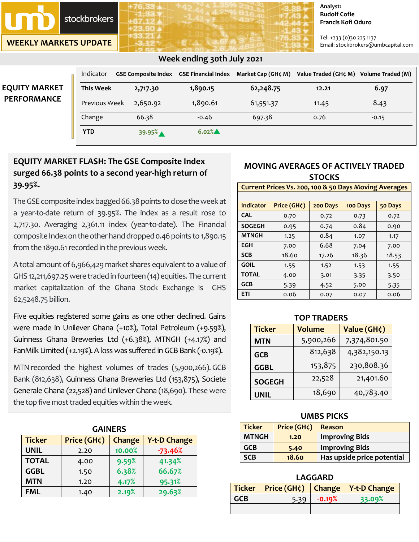**stockbrokers** 

**WEEKLY MARKETS UPDATE**

#### **Analyst: Rudolf Cofie Francis Kofi Oduro**

Tel: +233 (0)30 225 1137 Email: stockbrokers@umbcapital.com

|                      | Indicator        |          |          |           | GSE Composite Index GSE Financial Index Market Cap (GH¢ M) Value Traded (GH¢ M) Volume Traded (M) |         |
|----------------------|------------------|----------|----------|-----------|---------------------------------------------------------------------------------------------------|---------|
| <b>EQUITY MARKET</b> | <b>This Week</b> | 2,717.30 | 1,890.15 | 62,248.75 | 12.21                                                                                             | 6.97    |
| <b>PERFORMANCE</b>   | Previous Week    | 2,650.92 | 1,890.61 | 61,551.37 | 11.45                                                                                             | 8.43    |
|                      | Change           | 66.38    | $-0.46$  | 697.38    | 0.76                                                                                              | $-0.15$ |
|                      | <b>YTD</b>       | 39.95%   | $6.02\%$ |           |                                                                                                   |         |

### **Week ending 30th July 2021**

## **EQUITY MARKET FLASH: The GSE Composite Index surged 66.38 points to a second year-high return of 39.95%.**

The GSE composite index bagged 66.38 points to close the week at a year-to-date return of 39.95%. The index as a result rose to 2,717.30. Averaging 2,361.11 index (year-to-date). The Financial composite Index on the other hand dropped 0.46 points to 1,890.15 from the 1890.61 recorded in the previous week.

A total amount of 6,966,429 market shares equivalent to a value of GHS 12,211,697.25were traded in fourteen (14) equities. The current market capitalization of the Ghana Stock Exchange is GHS 62,5248.75 billion.

Five equities registered some gains as one other declined. Gains were made in Unilever Ghana (+10%), Total Petroleum (+9.59%), Guinness Ghana Breweries Ltd (+6.38%), MTNGH (+4.17%) and FanMilk Limited (+2.19%). A loss was suffered in GCB Bank (-0.19%).

MTN recorded the highest volumes of trades (5,900,266). GCB Bank (812,638), Guinness Ghana Breweries Ltd (153,875), Societe Generale Ghana (22,528) and Unilever Ghana (18,690). These were the top five most traded equities within the week.

| <b>GAINERS</b> |             |        |                     |  |
|----------------|-------------|--------|---------------------|--|
| <b>Ticker</b>  | Price (GH¢) | Change | <b>Y-t-D Change</b> |  |
| <b>UNIL</b>    | 2.20        | 10.00% | $-73.46%$           |  |
| <b>TOTAL</b>   | 4.00        | 9.59%  | 41.34%              |  |
| <b>GGBL</b>    | 1.50        | 6.38%  | 66.67%              |  |
| <b>MTN</b>     | 1.20        | 4.17%  | 95.31%              |  |
| <b>FML</b>     | 1.40        | 2.19%  | 29.63%              |  |

## **MOVING AVERAGES OF ACTIVELY TRADED STOCKS**

#### **Current Prices Vs. 200, 100 & 50 Days Moving Averages**

| Indicator     | Price (GH¢) | 200 Days | 100 Days | 50 Days |
|---------------|-------------|----------|----------|---------|
| <b>CAL</b>    | 0.70        | 0.72     | 0.73     | 0.72    |
| <b>SOGEGH</b> | 0.95        | 0.74     | 0.84     | 0.90    |
| <b>MTNGH</b>  | 1.25        | 0.84     | 1.07     | 1.17    |
| <b>EGH</b>    | 7.00        | 6.68     | 7.04     | 7.00    |
| <b>SCB</b>    | 18.60       | 17.26    | 18.36    | 18.53   |
| <b>GOIL</b>   | 1.55        | 1.52     | 1.53     | 1.55    |
| <b>TOTAL</b>  | 4.00        | 3.01     | 3.35     | 3.50    |
| <b>GCB</b>    | 5.39        | 4.52     | 5.00     | 5.35    |
| <b>ETI</b>    | 0.06        | 0.07     | 0.07     | 0.06    |

| <b>TOP TRADERS</b> |               |              |  |  |
|--------------------|---------------|--------------|--|--|
| <b>Ticker</b>      | <b>Volume</b> | Value (GH¢)  |  |  |
| MTN                | 5,900,266     | 7,374,801.50 |  |  |
| <b>GCB</b>         | 812,638       | 4,382,150.13 |  |  |
| <b>GGBL</b>        | 153,875       | 230,808.36   |  |  |
| <b>SOGEGH</b>      | 22,528        | 21,401.60    |  |  |
| <b>UNIL</b>        | 18,690        | 40,783.40    |  |  |

#### **UMBS PICKS**

| <b>Ticker</b> | Price (GH¢) | Reason                     |
|---------------|-------------|----------------------------|
| <b>MTNGH</b>  | 1.20        | <b>Improving Bids</b>      |
| <b>GCB</b>    | 5.40        | <b>Improving Bids</b>      |
| <b>SCB</b>    | 18.60       | Has upside price potential |

# **LAGGARD**

|     |      |           | Ticker   Price (GH¢)   Change   Y-t-D Change |
|-----|------|-----------|----------------------------------------------|
| GCB | 5.39 | $-0.19\%$ | 33.09%                                       |
|     |      |           |                                              |